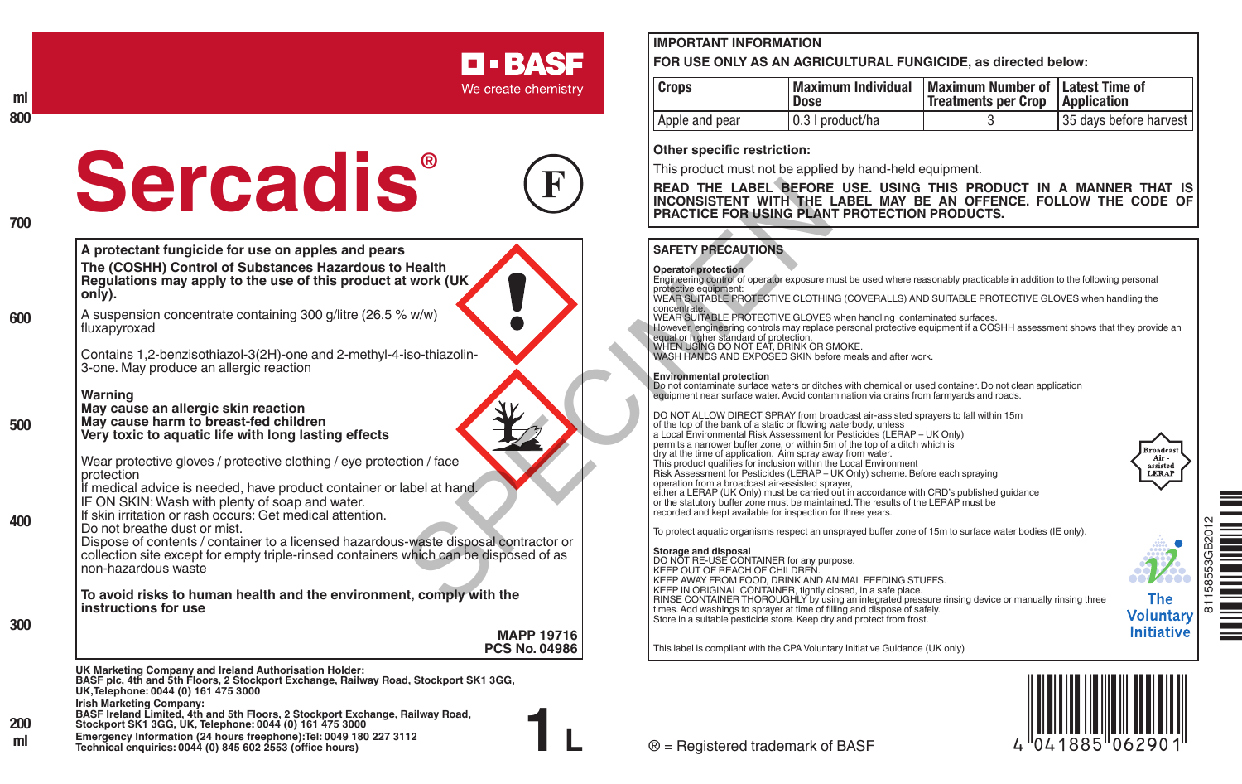#### **ml 800**

**700**

**600**

**500**

**400**

# **Sercadis®**



**D-BASF** We create chemistry

**A protectant fungicide for use on apples and pears The (COSHH) Control of Substances Hazardous to Health Regulations may apply to the use of this product at work (UK only).**

A suspension concentrate containing 300 g/litre (26.5 % w/w) fluxapyroxad

Contains 1,2-benzisothiazol-3(2H)-one and 2-methyl-4-iso-thiazolin-3-one. May produce an allergic reaction

**Warning May cause an allergic skin reaction May cause harm to breast-fed children Very toxic to aquatic life with long lasting effects**

Wear protective gloves / protective clothing / eye protection / face protection If medical advice is needed, have product container or label at hand.

IF ON SKIN: Wash with plenty of soap and water. If skin irritation or rash occurs: Get medical attention.

Do not breathe dust or mist.

Dispose of contents / container to a licensed hazardous-waste disposal contractor or collection site except for empty triple-rinsed containers which can be disposed of as non-hazardous waste

**To avoid risks to human health and the environment, comply with the instructions for use**

**300**

**1 L UK Marketing Company and Ireland Authorisation Holder: BASF plc, 4th and 5th Floors, 2 Stockport Exchange, Railway Road, Stockport SK1 3GG, UK,Telephone: 0044 (0) 161 475 3000 Irish Marketing Company: BASF Ireland Limited, 4th and 5th Floors, 2 Stockport Exchange, Railway Road, MAPP 19716 PCS No. 04986** 

**Stockport SK1 3GG, UK, Telephone: 0044 (0) 161 475 3000 200**

**Emergency Information (24 hours freephone):Tel: 0049 180 227 3112 Technical enquiries: 0044 (0) 845 602 2553 (office hours) ml**

## **IMPORTANT INFORMATION**

**FOR USE ONLY AS AN AGRICULTURAL FUNGICIDE, as directed below:**

| <b>Crops</b>   | Maximum Individual<br>Dose | Maximum Number of Latest Time of<br>Treatments per Crop   Application |                           |
|----------------|----------------------------|-----------------------------------------------------------------------|---------------------------|
| Apple and pear | 0.3   product/ha           |                                                                       | 35 days before harvest II |

### **Other specific restriction:**

This product must not be applied by hand-held equipment.

**READ THE LABEL BEFORE USE. USING THIS PRODUCT IN A MANNER THAT IS INCONSISTENT WITH THE LABEL MAY BE AN OFFENCE. FOLLOW THE CODE OF PRACTICE FOR USING PLANT PROTECTION PRODUCTS.**

#### **SAFETY PRECAUTIONS**

**Operator protection** Engineering control of operator exposure must be used where reasonably practicable in addition to the following personal protective equipment:

WEAR SUITABLE PROTECTIVE CLOTHING (COVERALLS) AND SUITABLE PROTECTIVE GLOVES when handling the<br>concentrate

concentrate. WEAR SUITABLE PROTECTIVE GLOVES when handling contaminated surfaces.

However, engineering controls may replace personal protective equipment if a COSHH assessment shows that they provide an

equal or higher standard of protection.<br>WHEN USING DO NOT EAT, DRINK OR SMOKE.<br>WASH HANDS AND EXPOSED SKIN before meals and after work.

#### **Environmental protection**

Do not contaminate surface waters or ditches with chemical or used container. Do not clean application equipment near surface water. Avoid contamination via drains from farmyards and roads.

DO NOT ALLOW DIRECT SPRAY from broadcast air-assisted sprayers to fall within 15m of the top of the bank of a static or flowing waterbody, unless a Local Environmental Risk Assessment for Pesticides (LERAP – UK Only) permits a narrower buffer zone, or within 5m of the top of a ditch which is dry at the time of application. Aim spray away from water. This product qualifies for inclusion within the Local Environment Risk Assessment for Pesticides (LERAP – UK Only) scheme. Before each spraying operation from a broadcast air-assisted sprayer, either a LERAP (UK Only) must be carried out in accordance with CRD's published guidance or the statutory buffer zone must be maintained. The results of the LERAP must be recorded and kept available for inspection for three years. **EXAMPLE THE LABEL BEFORE US<br>
FRACTICE FOR USING PLANT PRECAUTIONS**<br>
SPEACE TOR USING PLANT PRECAUTIONS<br>
FRACTICE FOR USING PLANT PRECAUTIONS<br>
SAFETY PRECAUTIONS<br>
Operator protection<br>
WARNER CAUTIONS<br>
WARNER CAUTIONS<br>
WARN

To protect aquatic organisms respect an unsprayed buffer zone of 15m to surface water bodies (IE only).

**Storage and disposal** DO NOT RE-USE CONTAINER for any purpose. KEEP OUT OF REACH OF CHILDREN. KEEP AWAY FROM FOOD, DRINK AND ANIMAL FEEDING STUFFS. KEEP IN ORIGINAL CONTAINER, tightly closed, in a safe place. RINSE CONTAINER THOROUGHLY by using an integrated pressure rinsing device or manually rinsing three times. Add washings to sprayer at time of filling and dispose of safely. Store in a suitable pesticide store. Keep dry and protect from frost.



**Broadcast** Air. assisted LERAP

**The Voluntary Initiative** 

This label is compliant with the CPA Voluntary Initiative Guidance (UK only)

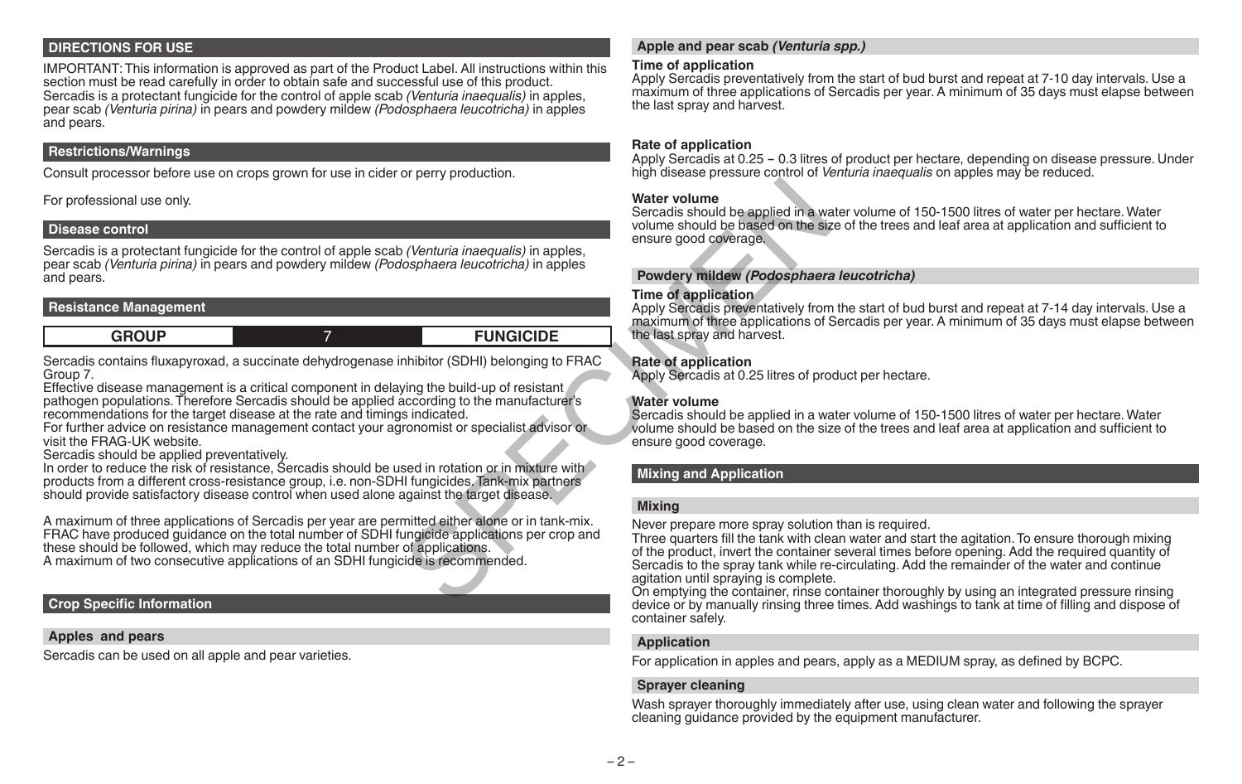#### **DIRECTIONS FOR USE**

IMPORTANT: This information is approved as part of the Product Label. All instructions within this section must be read carefully in order to obtain safe and successful use of this product. Sercadis is a protectant fungicide for the control of apple scab *(Venturia inaequalis)* in apples, pear scab *(Venturia pirina)* in pears and powdery mildew *(Podosphaera leucotricha)* in apples and pears.

#### **Restrictions/Warnings**

Consult processor before use on crops grown for use in cider or perry production.

For professional use only.

#### **Disease control**

Sercadis is a protectant fungicide for the control of apple scab *(Venturia inaequalis)* in apples, pear scab *(Venturia pirina)* in pears and powdery mildew *(Podosphaera leucotricha)* in apples and pears.

#### **Resistance Management**

**GROUP** 7 **FUNGICIDE**

Sercadis contains fluxapyroxad, a succinate dehydrogenase inhibitor (SDHI) belonging to FRAC Group 7.

Effective disease management is a critical component in delaying the build-up of resistant pathogen populations. Therefore Sercadis should be applied according to the manufacturer's recommendations for the target disease at the rate and timings indicated.

For further advice on resistance management contact your agronomist or specialist advisor or visit the FRAG-UK website.

Sercadis should be applied preventatively.

In order to reduce the risk of resistance, Sercadis should be used in rotation or in mixture with products from a different cross-resistance group, i.e. non-SDHI fungicides. Tank-mix partners should provide satisfactory disease control when used alone against the target disease.

A maximum of three applications of Sercadis per year are permitted either alone or in tank-mix. FRAC have produced guidance on the total number of SDHI fungicide applications per crop and these should be followed, which may reduce the total number of applications. A maximum of two consecutive applications of an SDHI fungicide is recommended. Water volume<br>
Sercadis should be applied in a way olume sercadis should be applied in a way olume should be based on the signal<br>
(Venturia inaequalis) in apples<br>
Sephaera leucotricha) in apples<br>
Time of application<br>
Apply

#### **Crop Specific Information**

#### **Apples and pears**

Sercadis can be used on all apple and pear varieties.

#### **Apple and pear scab** *(Venturia spp.)*

#### **Time of application**

Apply Sercadis preventatively from the start of bud burst and repeat at 7-10 day intervals. Use a maximum of three applications of Sercadis per year. A minimum of 35 days must elapse between the last spray and harvest.

#### **Rate of application**

Apply Sercadis at 0.25 - 0.3 litres of product per hectare, depending on disease pressure. Under high disease pressure control of *Venturia inaequalis* on apples may be reduced.

#### **Water volume**

Sercadis should be applied in a water volume of 150-1500 litres of water per hectare. Water volume should be based on the size of the trees and leaf area at application and sufficient to ensure good coverage.

#### **Powdery mildew** *(Podosphaera leucotricha)*

#### **Time of application**

Apply Sercadis preventatively from the start of bud burst and repeat at 7-14 day intervals. Use a maximum of three applications of Sercadis per year. A minimum of 35 days must elapse between the last spray and harvest.

#### **Rate of application**

Apply Sercadis at 0.25 litres of product per hectare.

#### **Water volume**

Sercadis should be applied in a water volume of 150-1500 litres of water per hectare. Water volume should be based on the size of the trees and leaf area at application and sufficient to ensure good coverage.

## **Mixing and Application**

#### **Mixing**

Never prepare more spray solution than is required.

Three quarters fill the tank with clean water and start the agitation. To ensure thorough mixing of the product, invert the container several times before opening. Add the required quantity of Sercadis to the spray tank while re-circulating. Add the remainder of the water and continue agitation until spraying is complete.

On emptying the container, rinse container thoroughly by using an integrated pressure rinsing device or by manually rinsing three times. Add washings to tank at time of filling and dispose of container safely.

#### **Application**

For application in apples and pears, apply as a MEDIUM spray, as defined by BCPC.

#### **Sprayer cleaning**

Wash sprayer thoroughly immediately after use, using clean water and following the sprayer cleaning guidance provided by the equipment manufacturer.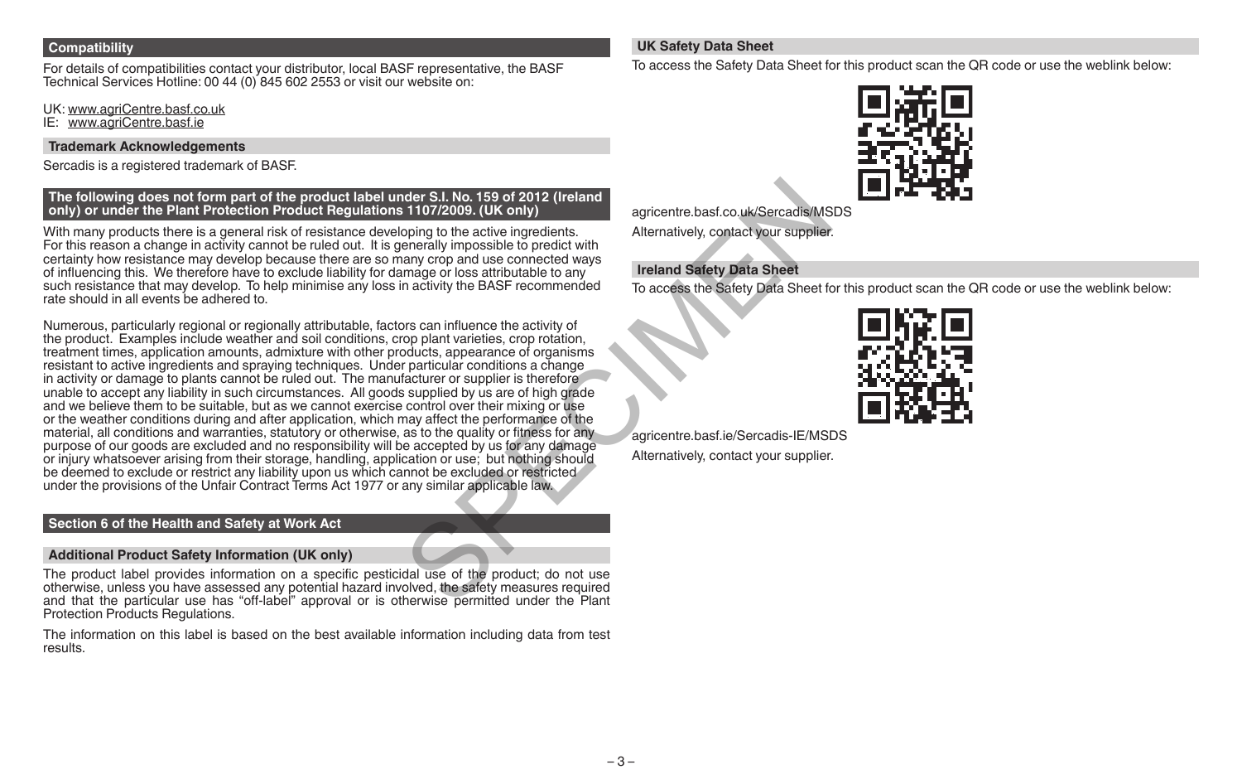#### **Compatibility**

For details of compatibilities contact your distributor, local BASF representative, the BASF Technical Services Hotline: 00 44 (0) 845 602 2553 or visit our website on:

UK: www.agriCentre.basf.co.uk

IE: www.agriCentre.basf.ie

#### **Trademark Acknowledgements**

Sercadis is a registered trademark of BASF.

#### **The following does not form part of the product label under S.I. No. 159 of 2012 (Ireland only) or under the Plant Protection Product Regulations 1107/2009. (UK only)**

With many products there is a general risk of resistance developing to the active ingredients. For this reason a change in activity cannot be ruled out. It is generally impossible to predict with certainty how resistance may develop because there are so many crop and use connected ways of influencing this. We therefore have to exclude liability for damage or loss attributable to any such resistance that may develop. To help minimise any loss in activity the BASF recommended rate should in all events be adhered to.

Numerous, particularly regional or regionally attributable, factors can influence the activity of the product. Examples include weather and soil conditions, crop plant varieties, crop rotation, treatment times, application amounts, admixture with other products, appearance of organisms resistant to active ingredients and spraying techniques. Under particular conditions a change in activity or damage to plants cannot be ruled out. The manufacturer or supplier is therefore unable to accept any liability in such circumstances. All goods supplied by us are of high grade and we believe them to be suitable, but as we cannot exercise control over their mixing or use or the weather conditions during and after application, which may affect the performance of the material, all conditions and warranties, statutory or otherwise, as to the quality or fitness for any purpose of our goods are excluded and no responsibility will be accepted by us for any damage or injury whatsoever arising from their storage, handling, application or use; but nothing should be deemed to exclude or restrict any liability upon us which cannot be excluded or restricted under the provisions of the Unfair Contract Terms Act 1977 or any similar applicable law. nder S.I. No. 159 of 2012 (Ireland<br>
agricentre.bast.co.uk/Sercadis/MS<br>
oping to the active ingredients.<br>
Alternatively, contact your supplier.<br>
Alternatively, contact your supplier.<br>
Alternatively, contact your supplier.<br>

## **Section 6 of the Health and Safety at Work Act**

#### **Additional Product Safety Information (UK only)**

The product label provides information on a specific pesticidal use of the product; do not use otherwise, unless you have assessed any potential hazard involved, the safety measures required and that the particular use has "off-label" approval or is otherwise permitted under the Plant Protection Products Regulations.

The information on this label is based on the best available information including data from test results.

## **UK Safety Data Sheet**

To access the Safety Data Sheet for this product scan the QR code or use the weblink below:



agricentre.basf.co.uk/Sercadis/MSDS

Alternatively, contact your supplier.

## **Ireland Safety Data Sheet**

To access the Safety Data Sheet for this product scan the QR code or use the weblink below:



agricentre.basf.ie/Sercadis-IE/MSDS Alternatively, contact your supplier.